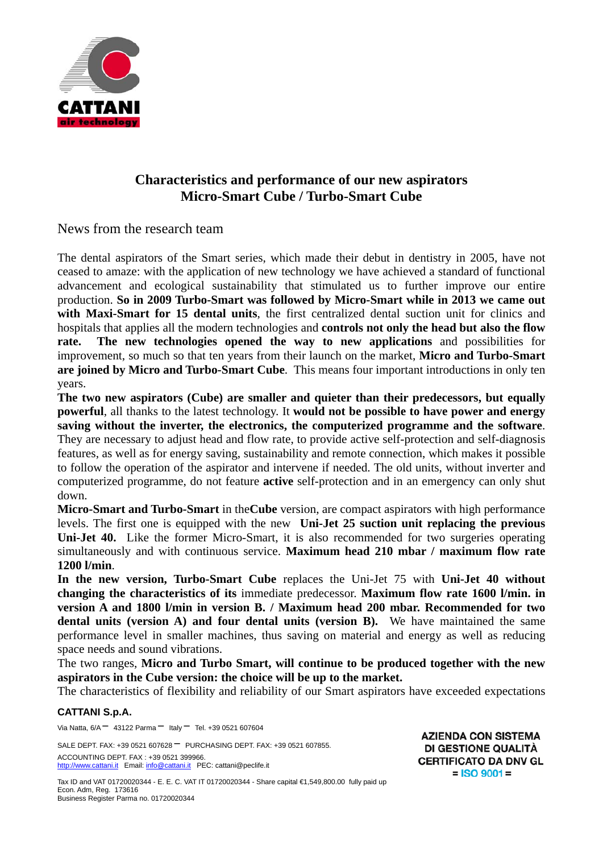

# **Characteristics and performance of our new aspirators Micro-Smart Cube / Turbo-Smart Cube**

News from the research team

The dental aspirators of the Smart series, which made their debut in dentistry in 2005, have not ceased to amaze: with the application of new technology we have achieved a standard of functional advancement and ecological sustainability that stimulated us to further improve our entire production. **So in 2009 Turbo-Smart was followed by Micro-Smart while in 2013 we came out with Maxi-Smart for 15 dental units**, the first centralized dental suction unit for clinics and hospitals that applies all the modern technologies and **controls not only the head but also the flow rate. The new technologies opened the way to new applications** and possibilities for improvement, so much so that ten years from their launch on the market, **Micro and Turbo-Smart are joined by Micro and Turbo-Smart Cube**. This means four important introductions in only ten years.

**The two new aspirators (Cube) are smaller and quieter than their predecessors, but equally powerful**, all thanks to the latest technology. It **would not be possible to have power and energy saving without the inverter, the electronics, the computerized programme and the software**. They are necessary to adjust head and flow rate, to provide active self-protection and self-diagnosis features, as well as for energy saving, sustainability and remote connection, which makes it possible to follow the operation of the aspirator and intervene if needed. The old units, without inverter and computerized programme, do not feature **active** self-protection and in an emergency can only shut down.

**Micro-Smart and Turbo-Smart** in the**Cube** version, are compact aspirators with high performance levels. The first one is equipped with the new **Uni-Jet 25 suction unit replacing the previous Uni-Jet 40.** Like the former Micro-Smart, it is also recommended for two surgeries operating simultaneously and with continuous service. **Maximum head 210 mbar / maximum flow rate 1200 l/min**.

**In the new version, Turbo-Smart Cube** replaces the Uni-Jet 75 with **Uni-Jet 40 without changing the characteristics of its** immediate predecessor. **Maximum flow rate 1600 l/min. in version A and 1800 l/min in version B. / Maximum head 200 mbar. Recommended for two dental units (version A) and four dental units (version B).** We have maintained the same performance level in smaller machines, thus saving on material and energy as well as reducing space needs and sound vibrations.

The two ranges, **Micro and Turbo Smart, will continue to be produced together with the new aspirators in the Cube version: the choice will be up to the market.** 

The characteristics of flexibility and reliability of our Smart aspirators have exceeded expectations

## **CATTANI S.p.A.**

Via Natta,  $6/A - 43122$  Parma  $-$  Italy  $-$  Tel. +39 0521 607604

SALE DEPT. FAX: +39 0521 607628 <sup>-</sup> PURCHASING DEPT. FAX: +39 0521 607855. ACCOUNTING DEPT. FAX : +39 0521 399966. http://www.cattani.it Email: info@cattani.it PEC: cattani@peclife.it

**AZIENDA CON SISTEMA DI GESTIONE QUALITÀ CERTIFICATO DA DNV GL**  $=$  ISO 9001 =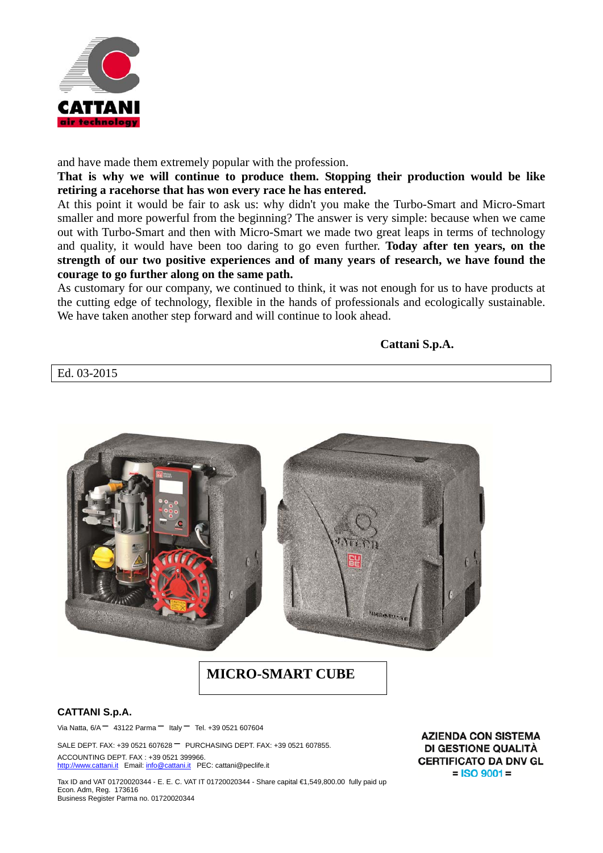

and have made them extremely popular with the profession.

**That is why we will continue to produce them. Stopping their production would be like retiring a racehorse that has won every race he has entered.** 

At this point it would be fair to ask us: why didn't you make the Turbo-Smart and Micro-Smart smaller and more powerful from the beginning? The answer is very simple: because when we came out with Turbo-Smart and then with Micro-Smart we made two great leaps in terms of technology and quality, it would have been too daring to go even further. **Today after ten years, on the strength of our two positive experiences and of many years of research, we have found the courage to go further along on the same path.** 

As customary for our company, we continued to think, it was not enough for us to have products at the cutting edge of technology, flexible in the hands of professionals and ecologically sustainable. We have taken another step forward and will continue to look ahead.

**Cattani S.p.A.**

Ed. 03-2015



## **CATTANI S.p.A.**

Via Natta,  $6/A - 43122$  Parma  $-$  Italy  $-$  Tel. +39 0521 607604

SALE DEPT. FAX: +39 0521 607628 <sup>-</sup> PURCHASING DEPT. FAX: +39 0521 607855. ACCOUNTING DEPT. FAX : +39 0521 399966. http://www.cattani.it Email: info@cattani.it PEC: cattani@peclife.it

Tax ID and VAT 01720020344 - E. E. C. VAT IT 01720020344 - Share capital €1,549,800.00 fully paid up Econ. Adm, Reg. 173616 Business Register Parma no. 01720020344

**AZIENDA CON SISTEMA DI GESTIONE QUALITÀ CERTIFICATO DA DNV GL**  $=$  ISO 9001 =